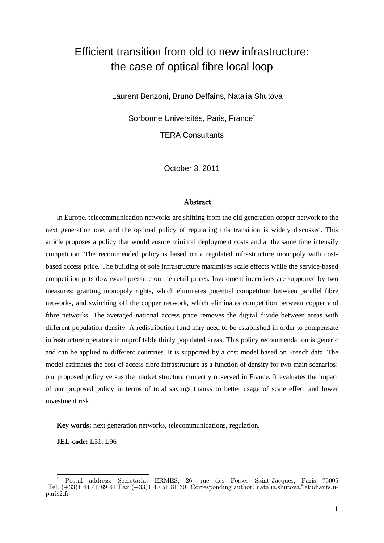# Efficient transition from old to new infrastructure: the case of optical fibre local loop

Laurent Benzoni, Bruno Deffains, Natalia Shutova

Sorbonne Universités, Paris, France\*

TERA Consultants

October 3, 2011

#### Abstract

In Europe, telecommunication networks are shifting from the old generation copper network to the next generation one, and the optimal policy of regulating this transition is widely discussed. This article proposes a policy that would ensure minimal deployment costs and at the same time intensify competition. The recommended policy is based on a regulated infrastructure monopoly with costbased access price. The building of sole infrastructure maximises scale effects while the service-based competition puts downward pressure on the retail prices. Investment incentives are supported by two measures: granting monopoly rights, which eliminates potential competition between parallel fibre networks, and switching off the copper network, which eliminates competition between copper and fibre networks. The averaged national access price removes the digital divide between areas with different population density. A redistribution fund may need to be established in order to compensate infrastructure operators in unprofitable thinly populated areas. This policy recommendation is generic and can be applied to different countries. It is supported by a cost model based on French data. The model estimates the cost of access fibre infrastructure as a function of density for two main scenarios: our proposed policy versus the market structure currently observed in France. It evaluates the impact of our proposed policy in terms of total savings thanks to better usage of scale effect and lower investment risk.

**Key words:** next generation networks, telecommunications, regulation.

**JEL-code:** L51, L96

 $\overline{1}$ \* Postal address: Secretariat ERMES, 26, rue des Fosses Saint-Jacques, Paris 75005 Tel. (+33)1 44 41 89 61 Fax (+33)1 40 51 81 30 Corresponding author: natalia.shutova@etudiants.uparis2.fr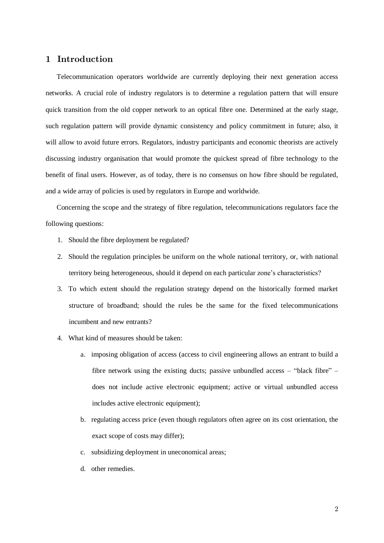# 1 Introduction

Telecommunication operators worldwide are currently deploying their next generation access networks. A crucial role of industry regulators is to determine a regulation pattern that will ensure quick transition from the old copper network to an optical fibre one. Determined at the early stage, such regulation pattern will provide dynamic consistency and policy commitment in future; also, it will allow to avoid future errors. Regulators, industry participants and economic theorists are actively discussing industry organisation that would promote the quickest spread of fibre technology to the benefit of final users. However, as of today, there is no consensus on how fibre should be regulated, and a wide array of policies is used by regulators in Europe and worldwide.

Concerning the scope and the strategy of fibre regulation, telecommunications regulators face the following questions:

- 1. Should the fibre deployment be regulated?
- 2. Should the regulation principles be uniform on the whole national territory, or, with national territory being heterogeneous, should it depend on each particular zone's characteristics?
- 3. To which extent should the regulation strategy depend on the historically formed market structure of broadband; should the rules be the same for the fixed telecommunications incumbent and new entrants?
- 4. What kind of measures should be taken:
	- a. imposing obligation of access (access to civil engineering allows an entrant to build a fibre network using the existing ducts; passive unbundled access – "black fibre" – does not include active electronic equipment; active or virtual unbundled access includes active electronic equipment);
	- b. regulating access price (even though regulators often agree on its cost orientation, the exact scope of costs may differ);
	- c. subsidizing deployment in uneconomical areas;
	- d. other remedies.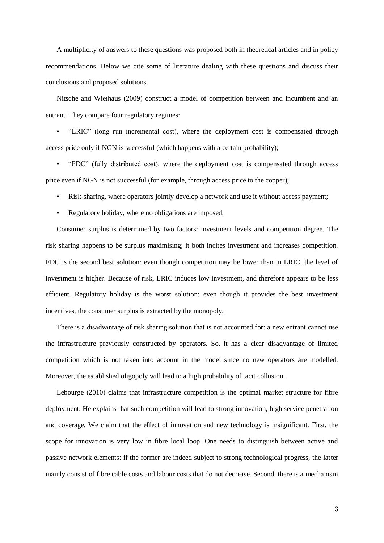A multiplicity of answers to these questions was proposed both in theoretical articles and in policy recommendations. Below we cite some of literature dealing with these questions and discuss their conclusions and proposed solutions.

Nitsche and Wiethaus (2009) construct a model of competition between and incumbent and an entrant. They compare four regulatory regimes:

• "LRIC" (long run incremental cost), where the deployment cost is compensated through access price only if NGN is successful (which happens with a certain probability);

• "FDC" (fully distributed cost), where the deployment cost is compensated through access price even if NGN is not successful (for example, through access price to the copper);

- Risk-sharing, where operators jointly develop a network and use it without access payment;
- Regulatory holiday, where no obligations are imposed.

Consumer surplus is determined by two factors: investment levels and competition degree. The risk sharing happens to be surplus maximising; it both incites investment and increases competition. FDC is the second best solution: even though competition may be lower than in LRIC, the level of investment is higher. Because of risk, LRIC induces low investment, and therefore appears to be less efficient. Regulatory holiday is the worst solution: even though it provides the best investment incentives, the consumer surplus is extracted by the monopoly.

There is a disadvantage of risk sharing solution that is not accounted for: a new entrant cannot use the infrastructure previously constructed by operators. So, it has a clear disadvantage of limited competition which is not taken into account in the model since no new operators are modelled. Moreover, the established oligopoly will lead to a high probability of tacit collusion.

Lebourge (2010) claims that infrastructure competition is the optimal market structure for fibre deployment. He explains that such competition will lead to strong innovation, high service penetration and coverage. We claim that the effect of innovation and new technology is insignificant. First, the scope for innovation is very low in fibre local loop. One needs to distinguish between active and passive network elements: if the former are indeed subject to strong technological progress, the latter mainly consist of fibre cable costs and labour costs that do not decrease. Second, there is a mechanism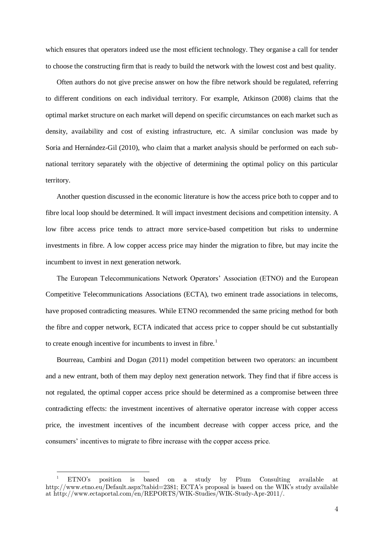which ensures that operators indeed use the most efficient technology. They organise a call for tender to choose the constructing firm that is ready to build the network with the lowest cost and best quality.

Often authors do not give precise answer on how the fibre network should be regulated, referring to different conditions on each individual territory. For example, Atkinson (2008) claims that the optimal market structure on each market will depend on specific circumstances on each market such as density, availability and cost of existing infrastructure, etc. A similar conclusion was made by Soria and Hernández-Gil (2010), who claim that a market analysis should be performed on each subnational territory separately with the objective of determining the optimal policy on this particular territory.

Another question discussed in the economic literature is how the access price both to copper and to fibre local loop should be determined. It will impact investment decisions and competition intensity. A low fibre access price tends to attract more service-based competition but risks to undermine investments in fibre. A low copper access price may hinder the migration to fibre, but may incite the incumbent to invest in next generation network.

The European Telecommunications Network Operators' Association (ETNO) and the European Competitive Telecommunications Associations (ECTA), two eminent trade associations in telecoms, have proposed contradicting measures. While ETNO recommended the same pricing method for both the fibre and copper network, ECTA indicated that access price to copper should be cut substantially to create enough incentive for incumbents to invest in fibre.<sup>1</sup>

Bourreau, Cambini and Dogan (2011) model competition between two operators: an incumbent and a new entrant, both of them may deploy next generation network. They find that if fibre access is not regulated, the optimal copper access price should be determined as a compromise between three contradicting effects: the investment incentives of alternative operator increase with copper access price, the investment incentives of the incumbent decrease with copper access price, and the consumers' incentives to migrate to fibre increase with the copper access price.

j

<sup>&</sup>lt;sup>1</sup> ETNO's position is based on a study by Plum Consulting available at http://www.etno.eu/Default.aspx?tabid=2381; ECTA's proposal is based on the WIK's study available at http://www.ectaportal.com/en/REPORTS/WIK-Studies/WIK-Study-Apr-2011/.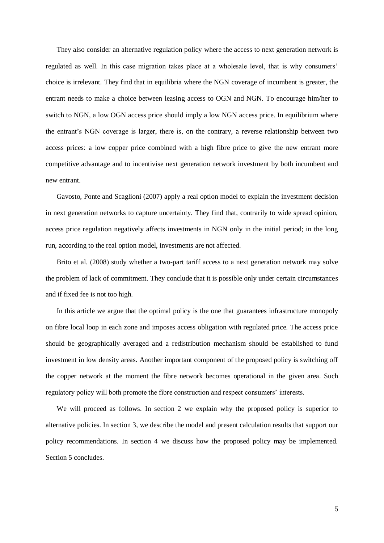They also consider an alternative regulation policy where the access to next generation network is regulated as well. In this case migration takes place at a wholesale level, that is why consumers' choice is irrelevant. They find that in equilibria where the NGN coverage of incumbent is greater, the entrant needs to make a choice between leasing access to OGN and NGN. To encourage him/her to switch to NGN, a low OGN access price should imply a low NGN access price. In equilibrium where the entrant's NGN coverage is larger, there is, on the contrary, a reverse relationship between two access prices: a low copper price combined with a high fibre price to give the new entrant more competitive advantage and to incentivise next generation network investment by both incumbent and new entrant.

Gavosto, Ponte and Scaglioni (2007) apply a real option model to explain the investment decision in next generation networks to capture uncertainty. They find that, contrarily to wide spread opinion, access price regulation negatively affects investments in NGN only in the initial period; in the long run, according to the real option model, investments are not affected.

Brito et al. (2008) study whether a two-part tariff access to a next generation network may solve the problem of lack of commitment. They conclude that it is possible only under certain circumstances and if fixed fee is not too high.

In this article we argue that the optimal policy is the one that guarantees infrastructure monopoly on fibre local loop in each zone and imposes access obligation with regulated price. The access price should be geographically averaged and a redistribution mechanism should be established to fund investment in low density areas. Another important component of the proposed policy is switching off the copper network at the moment the fibre network becomes operational in the given area. Such regulatory policy will both promote the fibre construction and respect consumers' interests.

We will proceed as follows. In section 2 we explain why the proposed policy is superior to alternative policies. In section 3, we describe the model and present calculation results that support our policy recommendations. In section 4 we discuss how the proposed policy may be implemented. Section 5 concludes.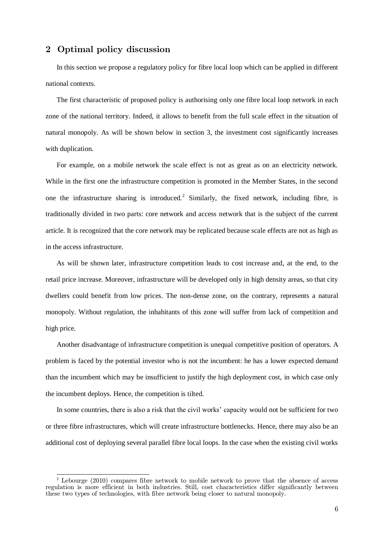# 2 Optimal policy discussion

In this section we propose a regulatory policy for fibre local loop which can be applied in different national contexts.

The first characteristic of proposed policy is authorising only one fibre local loop network in each zone of the national territory. Indeed, it allows to benefit from the full scale effect in the situation of natural monopoly. As will be shown below in section [3,](#page-7-0) the investment cost significantly increases with duplication.

For example, on a mobile network the scale effect is not as great as on an electricity network. While in the first one the infrastructure competition is promoted in the Member States, in the second one the infrastructure sharing is introduced.<sup>2</sup> Similarly, the fixed network, including fibre, is traditionally divided in two parts: core network and access network that is the subject of the current article. It is recognized that the core network may be replicated because scale effects are not as high as in the access infrastructure.

As will be shown later, infrastructure competition leads to cost increase and, at the end, to the retail price increase. Moreover, infrastructure will be developed only in high density areas, so that city dwellers could benefit from low prices. The non-dense zone, on the contrary, represents a natural monopoly. Without regulation, the inhabitants of this zone will suffer from lack of competition and high price.

Another disadvantage of infrastructure competition is unequal competitive position of operators. A problem is faced by the potential investor who is not the incumbent: he has a lower expected demand than the incumbent which may be insufficient to justify the high deployment cost, in which case only the incumbent deploys. Hence, the competition is tilted.

In some countries, there is also a risk that the civil works' capacity would not be sufficient for two or three fibre infrastructures, which will create infrastructure bottlenecks. Hence, there may also be an additional cost of deploying several parallel fibre local loops. In the case when the existing civil works

j  $2^{2}$  Lebourge (2010) compares fibre network to mobile network to prove that the absence of access regulation is more efficient in both industries. Still, cost characteristics differ significantly between these two types of technologies, with fibre network being closer to natural monopoly.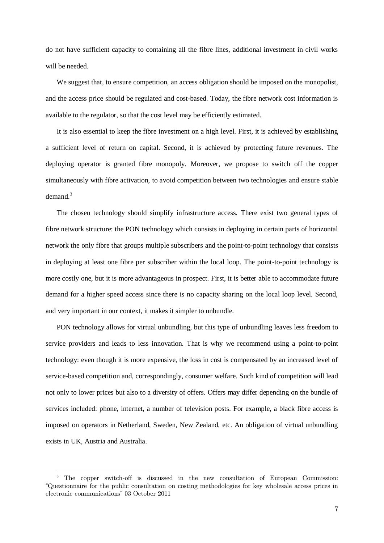do not have sufficient capacity to containing all the fibre lines, additional investment in civil works will be needed.

We suggest that, to ensure competition, an access obligation should be imposed on the monopolist, and the access price should be regulated and cost-based. Today, the fibre network cost information is available to the regulator, so that the cost level may be efficiently estimated.

It is also essential to keep the fibre investment on a high level. First, it is achieved by establishing a sufficient level of return on capital. Second, it is achieved by protecting future revenues. The deploying operator is granted fibre monopoly. Moreover, we propose to switch off the copper simultaneously with fibre activation, to avoid competition between two technologies and ensure stable demand.<sup>3</sup>

The chosen technology should simplify infrastructure access. There exist two general types of fibre network structure: the PON technology which consists in deploying in certain parts of horizontal network the only fibre that groups multiple subscribers and the point-to-point technology that consists in deploying at least one fibre per subscriber within the local loop. The point-to-point technology is more costly one, but it is more advantageous in prospect. First, it is better able to accommodate future demand for a higher speed access since there is no capacity sharing on the local loop level. Second, and very important in our context, it makes it simpler to unbundle.

PON technology allows for virtual unbundling, but this type of unbundling leaves less freedom to service providers and leads to less innovation. That is why we recommend using a point-to-point technology: even though it is more expensive, the loss in cost is compensated by an increased level of service-based competition and, correspondingly, consumer welfare. Such kind of competition will lead not only to lower prices but also to a diversity of offers. Offers may differ depending on the bundle of services included: phone, internet, a number of television posts. For example, a black fibre access is imposed on operators in Netherland, Sweden, New Zealand, etc. An obligation of virtual unbundling exists in UK, Austria and Australia.

j <sup>3</sup> The copper switch-off is discussed in the new consultation of European Commission: "Questionnaire for the public consultation on costing methodologies for key wholesale access prices in electronic communications" 03 October 2011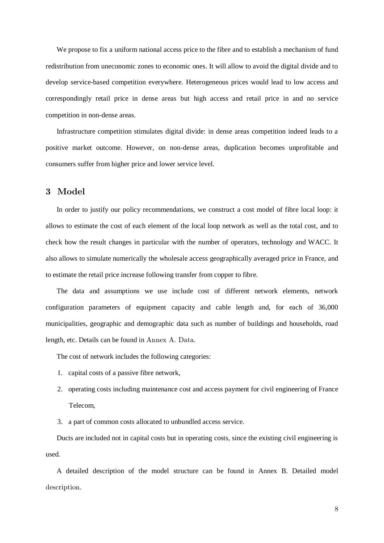We propose to fix a uniform national access price to the fibre and to establish a mechanism of fund redistribution from uneconomic zones to economic ones. It will allow to avoid the digital divide and to develop service-based competition everywhere. Heterogeneous prices would lead to low access and correspondingly retail price in dense areas but high access and retail price in and no service competition in non-dense areas.

Infrastructure competition stimulates digital divide: in dense areas competition indeed leads to a positive market outcome. However, on non-dense areas, duplication becomes unprofitable and consumers suffer from higher price and lower service level.

# <span id="page-7-0"></span>3 Model

In order to justify our policy recommendations, we construct a cost model of fibre local loop: it allows to estimate the cost of each element of the local loop network as well as the total cost, and to check how the result changes in particular with the number of operators, technology and WACC. It also allows to simulate numerically the wholesale access geographically averaged price in France, and to estimate the retail price increase following transfer from copper to fibre.

The data and assumptions we use include cost of different network elements, network configuration parameters of equipment capacity and cable length and, for each of 36,000 municipalities, geographic and demographic data such as number of buildings and households, road length, etc. Details can be found in [Annex A. Data](#page-20-0).

The cost of network includes the following categories:

- 1. capital costs of a passive fibre network,
- 2. operating costs including maintenance cost and access payment for civil engineering of France Telecom,

3. a part of common costs allocated to unbundled access service.

Ducts are included not in capital costs but in operating costs, since the existing civil engineering is used.

A detailed description of the model structure can be found in [Annex B. Detailed model](#page-23-0) [description](#page-23-0).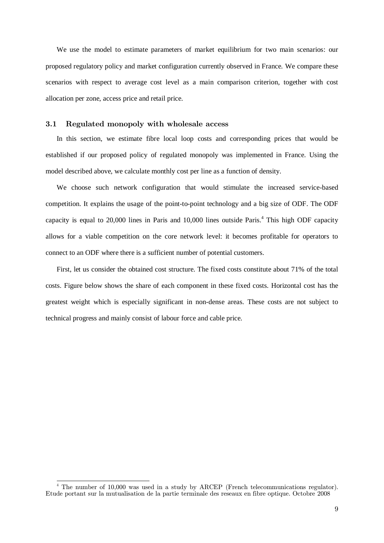We use the model to estimate parameters of market equilibrium for two main scenarios: our proposed regulatory policy and market configuration currently observed in France. We compare these scenarios with respect to average cost level as a main comparison criterion, together with cost allocation per zone, access price and retail price.

### 3.1 Regulated monopoly with wholesale access

In this section, we estimate fibre local loop costs and corresponding prices that would be established if our proposed policy of regulated monopoly was implemented in France. Using the model described above, we calculate monthly cost per line as a function of density.

We choose such network configuration that would stimulate the increased service-based competition. It explains the usage of the point-to-point technology and a big size of ODF. The ODF capacity is equal to 20,000 lines in Paris and 10,000 lines outside Paris.<sup>4</sup> This high ODF capacity allows for a viable competition on the core network level: it becomes profitable for operators to connect to an ODF where there is a sufficient number of potential customers.

First, let us consider the obtained cost structure. The fixed costs constitute about 71% of the total costs. Figure below shows the share of each component in these fixed costs. Horizontal cost has the greatest weight which is especially significant in non-dense areas. These costs are not subject to technical progress and mainly consist of labour force and cable price.

j <sup>4</sup> The number of 10,000 was used in a study by ARCEP (French telecommunications regulator). Etude portant sur la mutualisation de la partie terminale des reseaux en fibre optique. Octobre 2008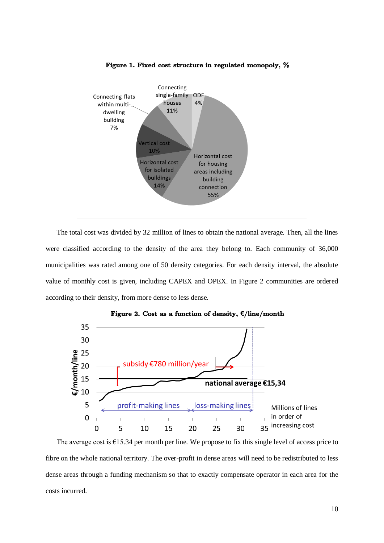

#### Figure 1. Fixed cost structure in regulated monopoly, %

The total cost was divided by 32 million of lines to obtain the national average. Then, all the lines were classified according to the density of the area they belong to. Each community of 36,000 municipalities was rated among one of 50 density categories. For each density interval, the absolute value of monthly cost is given, including CAPEX and OPEX. In [Figure 2](#page-9-0) communities are ordered according to their density, from more dense to less dense.

<span id="page-9-0"></span>

Figure 2. Cost as a function of density, **€**/line/month

The average cost is  $\epsilon$ 15.34 per month per line. We propose to fix this single level of access price to fibre on the whole national territory. The over-profit in dense areas will need to be redistributed to less dense areas through a funding mechanism so that to exactly compensate operator in each area for the costs incurred.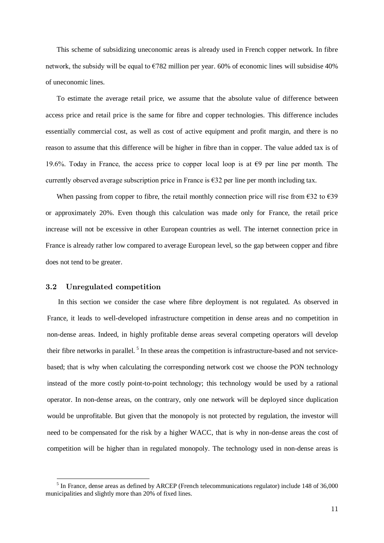This scheme of subsidizing uneconomic areas is already used in French copper network. In fibre network, the subsidy will be equal to  $E782$  million per year. 60% of economic lines will subsidise 40% of uneconomic lines.

To estimate the average retail price, we assume that the absolute value of difference between access price and retail price is the same for fibre and copper technologies. This difference includes essentially commercial cost, as well as cost of active equipment and profit margin, and there is no reason to assume that this difference will be higher in fibre than in copper. The value added tax is of 19.6%. Today in France, the access price to copper local loop is at  $\epsilon$ 9 per line per month. The currently observed average subscription price in France is  $E32$  per line per month including tax.

When passing from copper to fibre, the retail monthly connection price will rise from  $\epsilon$ 32 to  $\epsilon$ 39 or approximately 20%. Even though this calculation was made only for France, the retail price increase will not be excessive in other European countries as well. The internet connection price in France is already rather low compared to average European level, so the gap between copper and fibre does not tend to be greater.

#### 3.2 Unregulated competition

j

In this section we consider the case where fibre deployment is not regulated. As observed in France, it leads to well-developed infrastructure competition in dense areas and no competition in non-dense areas. Indeed, in highly profitable dense areas several competing operators will develop their fibre networks in parallel.<sup>5</sup> In these areas the competition is infrastructure-based and not servicebased; that is why when calculating the corresponding network cost we choose the PON technology instead of the more costly point-to-point technology; this technology would be used by a rational operator. In non-dense areas, on the contrary, only one network will be deployed since duplication would be unprofitable. But given that the monopoly is not protected by regulation, the investor will need to be compensated for the risk by a higher WACC, that is why in non-dense areas the cost of competition will be higher than in regulated monopoly. The technology used in non-dense areas is

<sup>&</sup>lt;sup>5</sup> In France, dense areas as defined by ARCEP (French telecommunications regulator) include 148 of 36,000 municipalities and slightly more than 20% of fixed lines.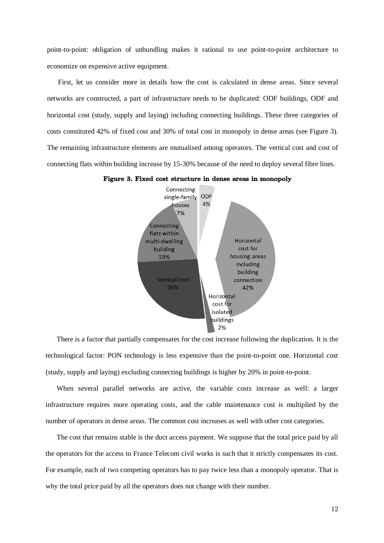point-to-point: obligation of unbundling makes it rational to use point-to-point architecture to economize on expensive active equipment.

First, let us consider more in details how the cost is calculated in dense areas. Since several networks are constructed, a part of infrastructure needs to be duplicated: ODF buildings, ODF and horizontal cost (study, supply and laying) including connecting buildings. These three categories of costs constituted 42% of fixed cost and 30% of total cost in monopoly in dense areas (see [Figure 3\)](#page-11-0). The remaining infrastructure elements are mutualised among operators. The vertical cost and cost of connecting flats within building increase by 15-30% because of the need to deploy several fibre lines.

<span id="page-11-0"></span>



There is a factor that partially compensates for the cost increase following the duplication. It is the technological factor: PON technology is less expensive than the point-to-point one. Horizontal cost (study, supply and laying) excluding connecting buildings is higher by 20% in point-to-point.

When several parallel networks are active, the variable costs increase as well: a larger infrastructure requires more operating costs, and the cable maintenance cost is multiplied by the number of operators in dense areas. The common cost increases as well with other cost categories.

The cost that remains stable is the duct access payment. We suppose that the total price paid by all the operators for the access to France Telecom civil works is such that it strictly compensates its cost. For example, each of two competing operators has to pay twice less than a monopoly operator. That is why the total price paid by all the operators does not change with their number.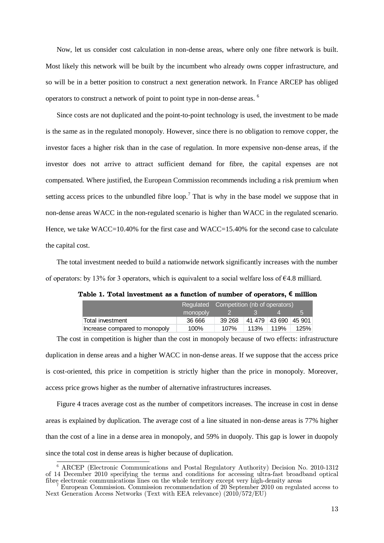Now, let us consider cost calculation in non-dense areas, where only one fibre network is built. Most likely this network will be built by the incumbent who already owns copper infrastructure, and so will be in a better position to construct a next generation network. In France ARCEP has obliged operators to construct a network of point to point type in non-dense areas. <sup>6</sup>

Since costs are not duplicated and the point-to-point technology is used, the investment to be made is the same as in the regulated monopoly. However, since there is no obligation to remove copper, the investor faces a higher risk than in the case of regulation. In more expensive non-dense areas, if the investor does not arrive to attract sufficient demand for fibre, the capital expenses are not compensated. Where justified, the European Commission recommends including a risk premium when setting access prices to the unbundled fibre loop.<sup>7</sup> That is why in the base model we suppose that in non-dense areas WACC in the non-regulated scenario is higher than WACC in the regulated scenario. Hence, we take WACC=10.40% for the first case and WACC=15.40% for the second case to calculate the capital cost.

The total investment needed to build a nationwide network significantly increases with the number of operators: by 13% for 3 operators, which is equivalent to a social welfare loss of  $64.8$  milliard.

|                               |          | Regulated Competition (nb of operators) |      |                      |      |
|-------------------------------|----------|-----------------------------------------|------|----------------------|------|
|                               | monopoly |                                         |      |                      |      |
| Total investment              | 36 666   | 39 268                                  |      | 41 479 43 690 45 901 |      |
| Increase compared to monopoly | 100%     | 107%                                    | 113% | 119%                 | 125% |

Table 1. Total investment as a function of number of operators, **€** million

The cost in competition is higher than the cost in monopoly because of two effects: infrastructure duplication in dense areas and a higher WACC in non-dense areas. If we suppose that the access price is cost-oriented, this price in competition is strictly higher than the price in monopoly. Moreover, access price grows higher as the number of alternative infrastructures increases.

[Figure 4](#page-13-0) traces average cost as the number of competitors increases. The increase in cost in dense areas is explained by duplication. The average cost of a line situated in non-dense areas is 77% higher than the cost of a line in a dense area in monopoly, and 59% in duopoly. This gap is lower in duopoly since the total cost in dense areas is higher because of duplication.

j <sup>6</sup> ARCEP (Electronic Communications and Postal Regulatory Authority) Decision No. 2010-1312 of 14 December 2010 specifying the terms and conditions for accessing ultra-fast broadband optical fibre electronic communications lines on the whole territory except very high-density areas

<sup>7</sup> European Commission. Commission recommendation of 20 September 2010 on regulated access to Next Generation Access Networks (Text with EEA relevance) (2010/572/EU)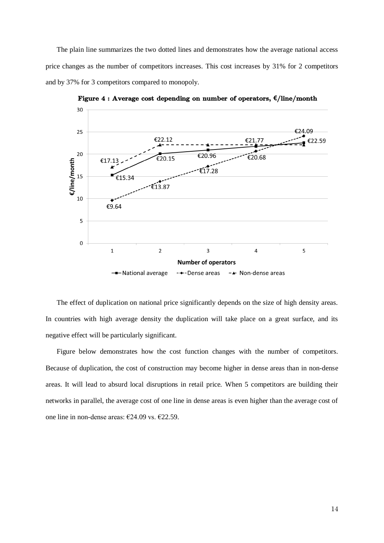The plain line summarizes the two dotted lines and demonstrates how the average national access price changes as the number of competitors increases. This cost increases by 31% for 2 competitors and by 37% for 3 competitors compared to monopoly.

<span id="page-13-0"></span>

Figure 4 : Average cost depending on number of operators, **€**/line/month

The effect of duplication on national price significantly depends on the size of high density areas. In countries with high average density the duplication will take place on a great surface, and its negative effect will be particularly significant.

Figure below demonstrates how the cost function changes with the number of competitors. Because of duplication, the cost of construction may become higher in dense areas than in non-dense areas. It will lead to absurd local disruptions in retail price. When 5 competitors are building their networks in parallel, the average cost of one line in dense areas is even higher than the average cost of one line in non-dense areas: €24.09 vs. €22.59.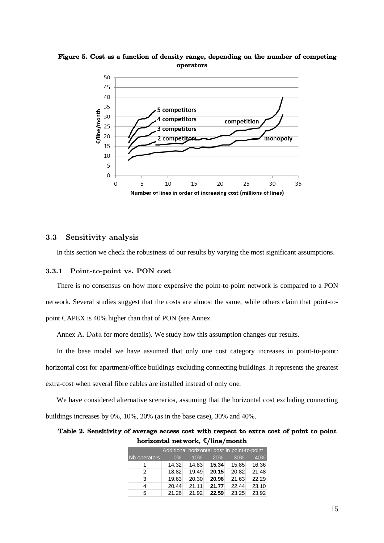

Figure 5. Cost as a function of density range, depending on the number of competing operators

#### 3.3 Sensitivity analysis

In this section we check the robustness of our results by varying the most significant assumptions.

#### 3.3.1 Point-to-point vs. PON cost

There is no consensus on how more expensive the point-to-point network is compared to a PON network. Several studies suggest that the costs are almost the same, while others claim that point-topoint CAPEX is 40% higher than that of PON (see [Annex](#page-20-1)

[Annex A.](#page-20-1) Data for more details). We study how this assumption changes our results.

In the base model we have assumed that only one cost category increases in point-to-point: horizontal cost for apartment/office buildings excluding connecting buildings. It represents the greatest extra-cost when several fibre cables are installed instead of only one.

We have considered alternative scenarios, assuming that the horizontal cost excluding connecting buildings increases by 0%, 10%, 20% (as in the base case), 30% and 40%.

# Table 2. Sensitivity of average access cost with respect to extra cost of point to point horizontal network, **€**/line/month

|               | Additional horizontal cost in point-to-point |       |       |       |       |
|---------------|----------------------------------------------|-------|-------|-------|-------|
| Nb operators  | $0\%$                                        | 10%   | 20%   | 30%   | 40%   |
|               | 14.32                                        | 14.83 | 15.34 | 15.85 | 16.36 |
| $\mathcal{P}$ | 18.82                                        | 19.49 | 20.15 | 20.82 | 21.48 |
| 3             | 19.63                                        | 20.30 | 20.96 | 21.63 | 22.29 |
| 4             | 20.44                                        | 21.11 | 21.77 | 22.44 | 23.10 |
| 5             | 21.26                                        | 21.92 | 22.59 | 23.25 | 23.92 |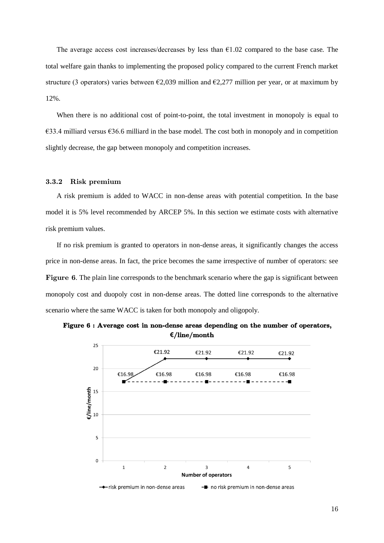The average access cost increases/decreases by less than  $E1.02$  compared to the base case. The total welfare gain thanks to implementing the proposed policy compared to the current French market structure (3 operators) varies between  $\epsilon$ 2,039 million and  $\epsilon$ 2,277 million per year, or at maximum by 12%.

When there is no additional cost of point-to-point, the total investment in monopoly is equal to  $\epsilon$ 33.4 milliard versus  $\epsilon$ 36.6 milliard in the base model. The cost both in monopoly and in competition slightly decrease, the gap between monopoly and competition increases.

# 3.3.2 Risk premium

A risk premium is added to WACC in non-dense areas with potential competition. In the base model it is 5% level recommended by ARCEP 5%. In this section we estimate costs with alternative risk premium values.

If no risk premium is granted to operators in non-dense areas, it significantly changes the access price in non-dense areas. In fact, the price becomes the same irrespective of number of operators: see [Figure 6](#page-15-0). The plain line corresponds to the benchmark scenario where the gap is significant between monopoly cost and duopoly cost in non-dense areas. The dotted line corresponds to the alternative scenario where the same WACC is taken for both monopoly and oligopoly.

<span id="page-15-0"></span>

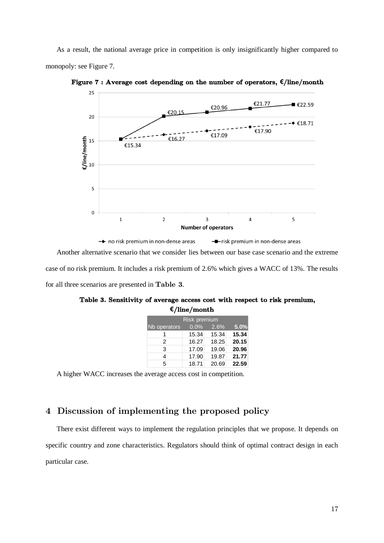As a result, the national average price in competition is only insignificantly higher compared to monopoly: see [Figure 7.](#page-16-0)



<span id="page-16-0"></span>Figure 7 : Average cost depending on the number of operators, **€**/line/month

Another alternative scenario that we consider lies between our base case scenario and the extreme case of no risk premium. It includes a risk premium of 2.6% which gives a WACC of 13%. The results for all three scenarios are presented in [Table 3](#page-16-1).

|                     | -, ,  |       |       |  |
|---------------------|-------|-------|-------|--|
| <b>Risk premium</b> |       |       |       |  |
| Nb operators        | 0.0%  | 2.6%  | 5.0%  |  |
|                     | 15.34 | 15.34 | 15.34 |  |
| 2                   | 16.27 | 18.25 | 20.15 |  |
| 3                   | 17.09 | 19.06 | 20.96 |  |
| 4                   | 17.90 | 19.87 | 21.77 |  |
| 5                   | 18.71 | 20.69 | 22.59 |  |

<span id="page-16-1"></span>Table 3. Sensitivity of average access cost with respect to risk premium, **€**/line/month

A higher WACC increases the average access cost in competition.

# 4 Discussion of implementing the proposed policy

There exist different ways to implement the regulation principles that we propose. It depends on specific country and zone characteristics. Regulators should think of optimal contract design in each particular case.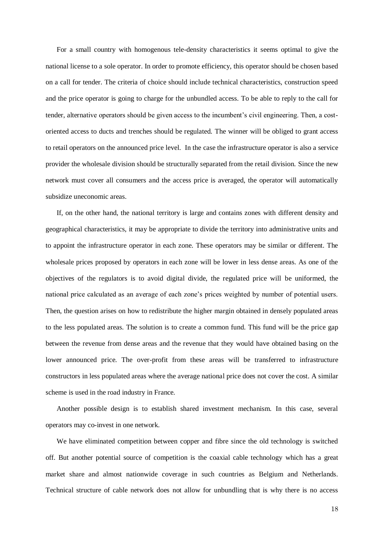For a small country with homogenous tele-density characteristics it seems optimal to give the national license to a sole operator. In order to promote efficiency, this operator should be chosen based on a call for tender. The criteria of choice should include technical characteristics, construction speed and the price operator is going to charge for the unbundled access. To be able to reply to the call for tender, alternative operators should be given access to the incumbent's civil engineering. Then, a costoriented access to ducts and trenches should be regulated. The winner will be obliged to grant access to retail operators on the announced price level. In the case the infrastructure operator is also a service provider the wholesale division should be structurally separated from the retail division. Since the new network must cover all consumers and the access price is averaged, the operator will automatically subsidize uneconomic areas.

If, on the other hand, the national territory is large and contains zones with different density and geographical characteristics, it may be appropriate to divide the territory into administrative units and to appoint the infrastructure operator in each zone. These operators may be similar or different. The wholesale prices proposed by operators in each zone will be lower in less dense areas. As one of the objectives of the regulators is to avoid digital divide, the regulated price will be uniformed, the national price calculated as an average of each zone's prices weighted by number of potential users. Then, the question arises on how to redistribute the higher margin obtained in densely populated areas to the less populated areas. The solution is to create a common fund. This fund will be the price gap between the revenue from dense areas and the revenue that they would have obtained basing on the lower announced price. The over-profit from these areas will be transferred to infrastructure constructors in less populated areas where the average national price does not cover the cost. A similar scheme is used in the road industry in France.

Another possible design is to establish shared investment mechanism. In this case, several operators may co-invest in one network.

We have eliminated competition between copper and fibre since the old technology is switched off. But another potential source of competition is the coaxial cable technology which has a great market share and almost nationwide coverage in such countries as Belgium and Netherlands. Technical structure of cable network does not allow for unbundling that is why there is no access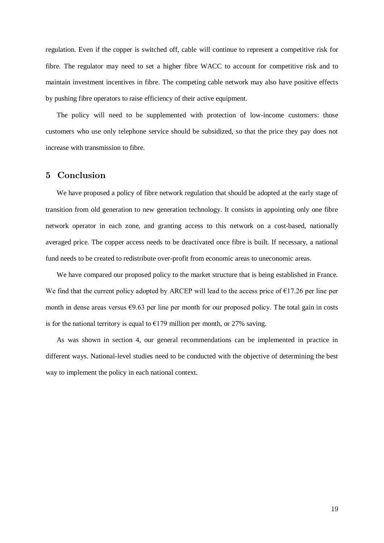regulation. Even if the copper is switched off, cable will continue to represent a competitive risk for fibre. The regulator may need to set a higher fibre WACC to account for competitive risk and to maintain investment incentives in fibre. The competing cable network may also have positive effects by pushing fibre operators to raise efficiency of their active equipment.

The policy will need to be supplemented with protection of low-income customers: those customers who use only telephone service should be subsidized, so that the price they pay does not increase with transmission to fibre.

# 5 Conclusion

We have proposed a policy of fibre network regulation that should be adopted at the early stage of transition from old generation to new generation technology. It consists in appointing only one fibre network operator in each zone, and granting access to this network on a cost-based, nationally averaged price. The copper access needs to be deactivated once fibre is built. If necessary, a national fund needs to be created to redistribute over-profit from economic areas to uneconomic areas.

We have compared our proposed policy to the market structure that is being established in France. We find that the current policy adopted by ARCEP will lead to the access price of  $E17.26$  per line per month in dense areas versus  $\epsilon$ 9.63 per line per month for our proposed policy. The total gain in costs is for the national territory is equal to  $E$ 179 million per month, or 27% saving.

As was shown in section 4, our general recommendations can be implemented in practice in different ways. National-level studies need to be conducted with the objective of determining the best way to implement the policy in each national context.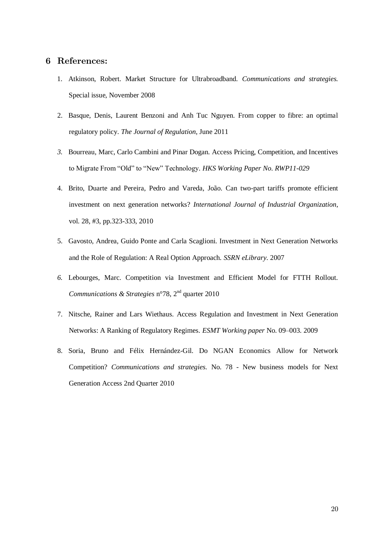# 6 References:

- 1. Atkinson, Robert. Market Structure for Ultrabroadband. *Communications and strategies.* Special issue, November 2008
- 2. Basque, Denis, Laurent Benzoni and Anh Tuc Nguyen. From copper to fibre: an optimal regulatory policy. *The Journal of Regulation*, June 2011
- *3.* Bourreau, Marc, Carlo Cambini and Pinar Dogan. Access Pricing, Competition, and Incentives to Migrate From "Old" to "New" Technology. *HKS Working Paper No. RWP11-029*
- 4. Brito, Duarte and Pereira, Pedro and Vareda, João. Can two-part tariffs promote efficient investment on next generation networks? *International Journal of Industrial Organization*, vol. 28, #3, pp.323-333, 2010
- 5. Gavosto, Andrea, Guido Ponte and Carla Scaglioni. Investment in Next Generation Networks and the Role of Regulation: A Real Option Approach. *SSRN eLibrary.* 2007
- *6.* Lebourges, Marc. Competition via Investment and Efficient Model for FTTH Rollout. *Communications & Strategies* n°78, 2nd quarter 2010
- 7. Nitsche, Rainer and Lars Wiethaus. Access Regulation and Investment in Next Generation Networks: A Ranking of Regulatory Regimes. *ESMT Working paper* No. 09–003. 2009
- 8. Soria, Bruno and Félix Hernández-Gil. Do NGAN Economics Allow for Network Competition? *Communications and strategies.* No. 78 - New business models for Next Generation Access 2nd Quarter 2010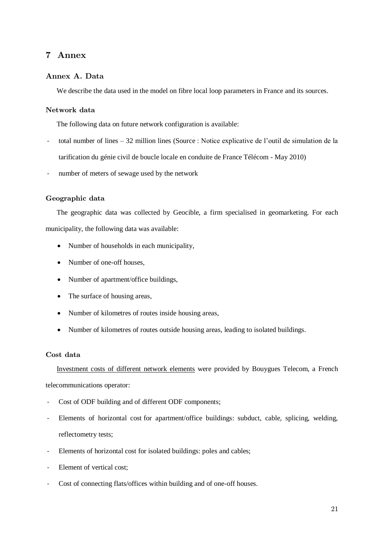# <span id="page-20-1"></span>7 Annex

### <span id="page-20-0"></span>Annex A. Data

We describe the data used in the model on fibre local loop parameters in France and its sources.

# Network data

The following data on future network configuration is available:

- total number of lines 32 million lines (Source : Notice explicative de l'outil de simulation de la tarification du génie civil de boucle locale en conduite de France Télécom - May 2010)
- number of meters of sewage used by the network

#### Geographic data

The geographic data was collected by Geocible, a firm specialised in geomarketing. For each municipality, the following data was available:

- Number of households in each municipality,
- Number of one-off houses.
- Number of apartment/office buildings,
- The surface of housing areas,
- Number of kilometres of routes inside housing areas,
- Number of kilometres of routes outside housing areas, leading to isolated buildings.

# Cost data

Investment costs of different network elements were provided by Bouygues Telecom, a French

telecommunications operator:

- Cost of ODF building and of different ODF components;
- Elements of horizontal cost for apartment/office buildings: subduct, cable, splicing, welding, reflectometry tests;
- Elements of horizontal cost for isolated buildings: poles and cables;
- Element of vertical cost;
- Cost of connecting flats/offices within building and of one-off houses.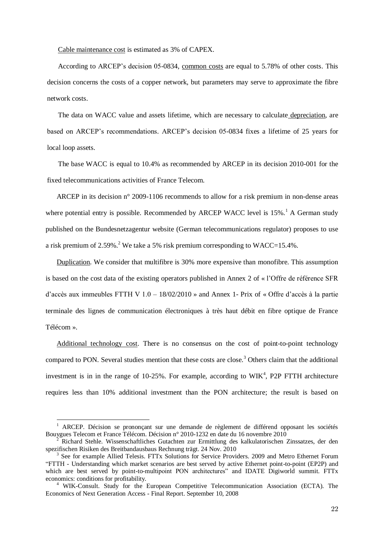Cable maintenance cost is estimated as 3% of CAPEX.

According to ARCEP's decision 05-0834, common costs are equal to 5.78% of other costs. This decision concerns the costs of a copper network, but parameters may serve to approximate the fibre network costs.

The data on WACC value and assets lifetime, which are necessary to calculate depreciation, are based on ARCEP's recommendations. ARCEP's decision 05-0834 fixes a lifetime of 25 years for local loop assets.

The base WACC is equal to 10.4% as recommended by ARCEP in its decision 2010-001 for the fixed telecommunications activities of France Telecom.

ARCEP in its decision n° 2009-1106 recommends to allow for a risk premium in non-dense areas where potential entry is possible. Recommended by ARCEP WACC level is  $15\%$ .<sup>1</sup> A German study published on the Bundesnetzagentur website (German telecommunications regulator) proposes to use a risk premium of 2.59%.<sup>2</sup> We take a 5% risk premium corresponding to  $WACC=15.4\%$ .

Duplication. We consider that multifibre is 30% more expensive than monofibre. This assumption is based on the cost data of the existing operators published in Annex 2 of « l'Offre de référence SFR d'accès aux immeubles FTTH V 1.0 – 18/02/2010 » and Annex 1- Prix of « Offre d'accès à la partie terminale des lignes de communication électroniques à très haut débit en fibre optique de France Télécom ».

Additional technology cost. There is no consensus on the cost of point-to-point technology compared to PON. Several studies mention that these costs are close. <sup>3</sup> Others claim that the additional investment is in in the range of  $10-25\%$ . For example, according to WIK<sup>4</sup>, P2P FTTH architecture requires less than 10% additional investment than the PON architecture; the result is based on

-

<sup>1</sup> ARCEP. Décision se prononçant sur une demande de règlement de différend opposant les sociétés Bouygues Telecom et France Télécom. Décision n° 2010-1232 en date du 16 novembre 2010

<sup>2</sup> Richard Stehle. Wissenschaftliches Gutachten zur Ermittlung des kalkulatorischen Zinssatzes, der den spezifischen Risiken des Breitbandausbaus Rechnung trägt. 24 Nov. 2010

<sup>&</sup>lt;sup>3</sup> See for example Allied Telesis. FTTx Solutions for Service Providers. 2009 and Metro Ethernet Forum "FTTH - Understanding which market scenarios are best served by active Ethernet point-to-point (EP2P) and which are best served by point-to-multipoint PON architectures" and IDATE Digiworld summit. FTTx economics: conditions for profitability.

<sup>4</sup> WIK-Consult. Study for the European Competitive Telecommunication Association (ECTA). The Economics of Next Generation Access - Final Report. September 10, 2008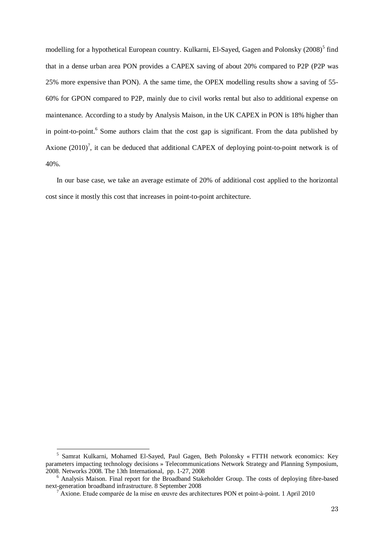modelling for a hypothetical European country. Kulkarni, El-Sayed, Gagen and Polonsky (2008)<sup>5</sup> find that in a dense urban area PON provides a CAPEX saving of about 20% compared to P2P (P2P was 25% more expensive than PON). A the same time, the OPEX modelling results show a saving of 55- 60% for GPON compared to P2P, mainly due to civil works rental but also to additional expense on maintenance. According to a study by Analysis Maison, in the UK CAPEX in PON is 18% higher than in point-to-point.<sup>6</sup> Some authors claim that the cost gap is significant. From the data published by Axione  $(2010)^7$ , it can be deduced that additional CAPEX of deploying point-to-point network is of 40%.

In our base case, we take an average estimate of 20% of additional cost applied to the horizontal cost since it mostly this cost that increases in point-to-point architecture.

 5 Samrat Kulkarni, Mohamed El-Sayed, Paul Gagen, Beth Polonsky « FTTH network economics: Key parameters impacting technology decisions » Telecommunications Network Strategy and Planning Symposium, 2008. Networks 2008. The 13th International, pp. 1-27, 2008

<sup>6</sup> Analysis Maison. Final report for the Broadband Stakeholder Group. The costs of deploying fibre-based next-generation broadband infrastructure. 8 September 2008

<sup>7</sup> Axione. Etude comparée de la mise en œuvre des architectures PON et point-à-point. 1 April 2010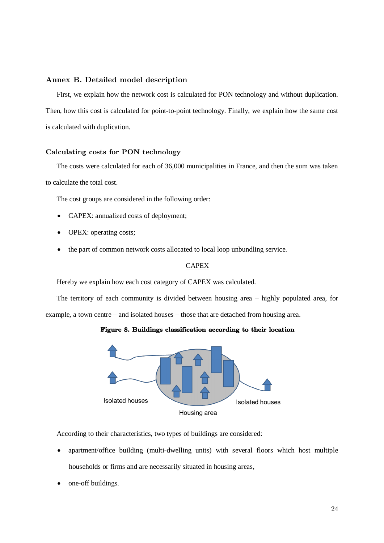#### <span id="page-23-0"></span>Annex B. Detailed model description

First, we explain how the network cost is calculated for PON technology and without duplication. Then, how this cost is calculated for point-to-point technology. Finally, we explain how the same cost is calculated with duplication.

#### Calculating costs for PON technology

The costs were calculated for each of 36,000 municipalities in France, and then the sum was taken to calculate the total cost.

The cost groups are considered in the following order:

- CAPEX: annualized costs of deployment;
- OPEX: operating costs;
- the part of common network costs allocated to local loop unbundling service.

### **CAPEX**

Hereby we explain how each cost category of CAPEX was calculated.

The territory of each community is divided between housing area – highly populated area, for example, a town centre – and isolated houses – those that are detached from housing area.





According to their characteristics, two types of buildings are considered:

- apartment/office building (multi-dwelling units) with several floors which host multiple households or firms and are necessarily situated in housing areas,
- one-off buildings.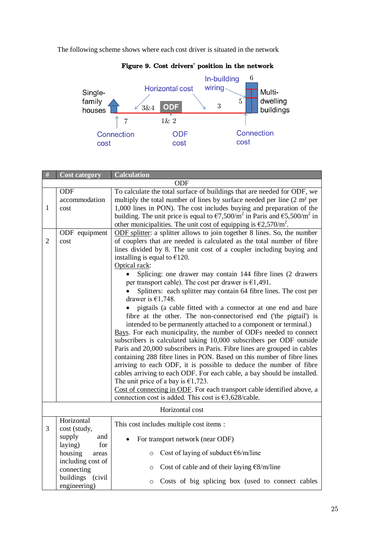The following scheme shows where each cost driver is situated in the network



# Figure 9. Cost drivers**'** position in the network

| #              | <b>Cost category</b>                  | <b>Calculation</b>                                                                                                                                                                                                                                                                                                                                                                                                                                                                                                                                                                                                                                                                                                                                                                                                                                                                                                                                                                                                                                                                                                                                                                                                                                                                                               |  |
|----------------|---------------------------------------|------------------------------------------------------------------------------------------------------------------------------------------------------------------------------------------------------------------------------------------------------------------------------------------------------------------------------------------------------------------------------------------------------------------------------------------------------------------------------------------------------------------------------------------------------------------------------------------------------------------------------------------------------------------------------------------------------------------------------------------------------------------------------------------------------------------------------------------------------------------------------------------------------------------------------------------------------------------------------------------------------------------------------------------------------------------------------------------------------------------------------------------------------------------------------------------------------------------------------------------------------------------------------------------------------------------|--|
|                |                                       | ODF                                                                                                                                                                                                                                                                                                                                                                                                                                                                                                                                                                                                                                                                                                                                                                                                                                                                                                                                                                                                                                                                                                                                                                                                                                                                                                              |  |
| $\mathbf{1}$   | ODF<br>accommodation<br>cost          | To calculate the total surface of buildings that are needed for ODF, we<br>multiply the total number of lines by surface needed per line $(2 \text{ m}^2 \text{ per})$<br>1,000 lines in PON). The cost includes buying and preparation of the<br>building. The unit price is equal to $\epsilon$ 7,500/m <sup>2</sup> in Paris and $\epsilon$ 5,500/m <sup>2</sup> in                                                                                                                                                                                                                                                                                                                                                                                                                                                                                                                                                                                                                                                                                                                                                                                                                                                                                                                                           |  |
| $\overline{2}$ | ODF equipment<br>cost                 | other municipalities. The unit cost of equipping is $\epsilon$ 2,570/m <sup>2</sup> .<br>ODF splitter: a splitter allows to join together 8 lines. So, the number<br>of couplers that are needed is calculated as the total number of fibre<br>lines divided by 8. The unit cost of a coupler including buying and<br>installing is equal to $£120$ .<br>Optical rack:<br>Splicing: one drawer may contain 144 fibre lines (2 drawers<br>per transport cable). The cost per drawer is $\epsilon$ 1,491.<br>Splitters: each splitter may contain 64 fibre lines. The cost per<br>drawer is $€1,748$ .<br>pigtails (a cable fitted with a connector at one end and bare<br>fibre at the other. The non-connectorised end ('the pigtail') is<br>intended to be permanently attached to a component or terminal.)<br>Bays. For each municipality, the number of ODFs needed to connect<br>subscribers is calculated taking 10,000 subscribers per ODF outside<br>Paris and 20,000 subscribers in Paris. Fibre lines are grouped in cables<br>containing 288 fibre lines in PON. Based on this number of fibre lines<br>arriving to each ODF, it is possible to deduce the number of fibre<br>cables arriving to each ODF. For each cable, a bay should be installed.<br>The unit price of a bay is $\epsilon$ 1,723. |  |
|                |                                       | Cost of connecting in ODF. For each transport cable identified above, a<br>connection cost is added. This cost is $\epsilon$ 3,628/cable.                                                                                                                                                                                                                                                                                                                                                                                                                                                                                                                                                                                                                                                                                                                                                                                                                                                                                                                                                                                                                                                                                                                                                                        |  |
|                |                                       | Horizontal cost                                                                                                                                                                                                                                                                                                                                                                                                                                                                                                                                                                                                                                                                                                                                                                                                                                                                                                                                                                                                                                                                                                                                                                                                                                                                                                  |  |
| 3              | Horizontal<br>cost (study,            | This cost includes multiple cost items :                                                                                                                                                                                                                                                                                                                                                                                                                                                                                                                                                                                                                                                                                                                                                                                                                                                                                                                                                                                                                                                                                                                                                                                                                                                                         |  |
|                | supply<br>and<br>laying)<br>for       | For transport network (near ODF)                                                                                                                                                                                                                                                                                                                                                                                                                                                                                                                                                                                                                                                                                                                                                                                                                                                                                                                                                                                                                                                                                                                                                                                                                                                                                 |  |
|                | housing<br>areas<br>including cost of | Cost of laying of subduct $\epsilon$ 6/m/line<br>$\circ$                                                                                                                                                                                                                                                                                                                                                                                                                                                                                                                                                                                                                                                                                                                                                                                                                                                                                                                                                                                                                                                                                                                                                                                                                                                         |  |
|                | connecting<br>buildings (civil        | Cost of cable and of their laying $E8/m$ /line<br>$\circ$<br>Costs of big splicing box (used to connect cables<br>$\circ$                                                                                                                                                                                                                                                                                                                                                                                                                                                                                                                                                                                                                                                                                                                                                                                                                                                                                                                                                                                                                                                                                                                                                                                        |  |
|                | engineering)                          |                                                                                                                                                                                                                                                                                                                                                                                                                                                                                                                                                                                                                                                                                                                                                                                                                                                                                                                                                                                                                                                                                                                                                                                                                                                                                                                  |  |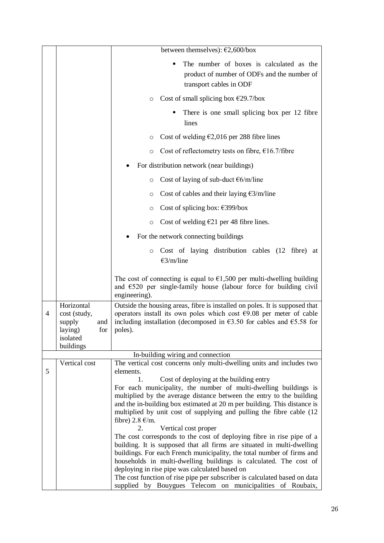|   |                                                                           | between themselves): $\epsilon$ 2,600/box                                                                                                                                                                                                                                                                                                                                                                                                                                                                                                                                                                                                                                                                                      |
|---|---------------------------------------------------------------------------|--------------------------------------------------------------------------------------------------------------------------------------------------------------------------------------------------------------------------------------------------------------------------------------------------------------------------------------------------------------------------------------------------------------------------------------------------------------------------------------------------------------------------------------------------------------------------------------------------------------------------------------------------------------------------------------------------------------------------------|
|   |                                                                           | The number of boxes is calculated as the<br>product of number of ODFs and the number of<br>transport cables in ODF                                                                                                                                                                                                                                                                                                                                                                                                                                                                                                                                                                                                             |
|   |                                                                           | Cost of small splicing box $\epsilon$ 29.7/box<br>$\circ$                                                                                                                                                                                                                                                                                                                                                                                                                                                                                                                                                                                                                                                                      |
|   |                                                                           | There is one small splicing box per 12 fibre<br>lines                                                                                                                                                                                                                                                                                                                                                                                                                                                                                                                                                                                                                                                                          |
|   |                                                                           | Cost of welding $\epsilon$ 2,016 per 288 fibre lines<br>O                                                                                                                                                                                                                                                                                                                                                                                                                                                                                                                                                                                                                                                                      |
|   |                                                                           | Cost of reflectometry tests on fibre, $\epsilon$ 16.7/fibre<br>$\circ$                                                                                                                                                                                                                                                                                                                                                                                                                                                                                                                                                                                                                                                         |
|   |                                                                           | For distribution network (near buildings)                                                                                                                                                                                                                                                                                                                                                                                                                                                                                                                                                                                                                                                                                      |
|   |                                                                           | Cost of laying of sub-duct $\epsilon$ 6/m/line<br>$\circ$                                                                                                                                                                                                                                                                                                                                                                                                                                                                                                                                                                                                                                                                      |
|   |                                                                           | Cost of cables and their laying $\epsilon$ 3/m/line<br>O                                                                                                                                                                                                                                                                                                                                                                                                                                                                                                                                                                                                                                                                       |
|   |                                                                           | Cost of splicing box: $\epsilon$ 399/box<br>O                                                                                                                                                                                                                                                                                                                                                                                                                                                                                                                                                                                                                                                                                  |
|   |                                                                           | Cost of welding $E21$ per 48 fibre lines.<br>O                                                                                                                                                                                                                                                                                                                                                                                                                                                                                                                                                                                                                                                                                 |
|   |                                                                           | For the network connecting buildings                                                                                                                                                                                                                                                                                                                                                                                                                                                                                                                                                                                                                                                                                           |
|   |                                                                           | Cost of laying distribution cables (12 fibre) at<br>$\circ$<br>$E3/m$ line                                                                                                                                                                                                                                                                                                                                                                                                                                                                                                                                                                                                                                                     |
|   |                                                                           | The cost of connecting is equal to $\epsilon$ 1,500 per multi-dwelling building<br>and $\epsilon$ 520 per single-family house (labour force for building civil<br>engineering).                                                                                                                                                                                                                                                                                                                                                                                                                                                                                                                                                |
| 4 | Horizontal<br>cost (study,<br>supply<br>and<br>laying)<br>for<br>isolated | Outside the housing areas, fibre is installed on poles. It is supposed that<br>operators install its own poles which cost $\epsilon$ 9.08 per meter of cable<br>including installation (decomposed in $\epsilon$ 3.50 for cables and $\epsilon$ 5.58 for<br>poles).                                                                                                                                                                                                                                                                                                                                                                                                                                                            |
|   | buildings                                                                 | In-building wiring and connection                                                                                                                                                                                                                                                                                                                                                                                                                                                                                                                                                                                                                                                                                              |
|   | Vertical cost                                                             | The vertical cost concerns only multi-dwelling units and includes two                                                                                                                                                                                                                                                                                                                                                                                                                                                                                                                                                                                                                                                          |
| 5 |                                                                           | elements.<br>Cost of deploying at the building entry<br>1.<br>For each municipality, the number of multi-dwelling buildings is<br>multiplied by the average distance between the entry to the building<br>and the in-building box estimated at 20 m per building. This distance is<br>multiplied by unit cost of supplying and pulling the fibre cable (12<br>fibre) $2.8 \text{ } \infty$ /m.<br>2.<br>Vertical cost proper<br>The cost corresponds to the cost of deploying fibre in rise pipe of a<br>building. It is supposed that all firms are situated in multi-dwelling<br>buildings. For each French municipality, the total number of firms and<br>households in multi-dwelling buildings is calculated. The cost of |
|   |                                                                           | deploying in rise pipe was calculated based on<br>The cost function of rise pipe per subscriber is calculated based on data<br>supplied by Bouygues Telecom on municipalities of Roubaix,                                                                                                                                                                                                                                                                                                                                                                                                                                                                                                                                      |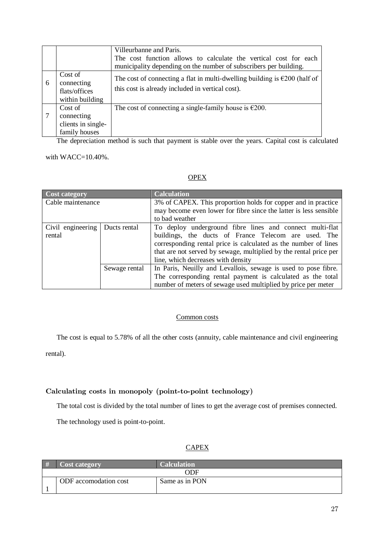|   |                                                              | Villeurbanne and Paris.                                                                                                                                                                                                                                      |
|---|--------------------------------------------------------------|--------------------------------------------------------------------------------------------------------------------------------------------------------------------------------------------------------------------------------------------------------------|
|   |                                                              | The cost function allows to calculate the vertical cost for each                                                                                                                                                                                             |
|   |                                                              | municipality depending on the number of subscribers per building.                                                                                                                                                                                            |
| 6 | Cost of<br>connecting<br>flats/offices<br>within building    | The cost of connecting a flat in multi-dwelling building is $\epsilon$ 200 (half of<br>this cost is already included in vertical cost).                                                                                                                      |
|   | Cost of<br>connecting<br>clients in single-<br>family houses | The cost of connecting a single-family house is $\epsilon$ 200.                                                                                                                                                                                              |
|   | $\mathbf{r}$ and $\mathbf{r}$                                | $\cdot$ $\cdot$<br>$\sim$ $\sim$ $\sim$<br><b>The Contract Contract Contract Contract Contract Contract Contract Contract Contract Contract Contract Contract</b><br>and the state of the state of the state of<br>$\cdot$ $\cdot$ $\cdot$ $\cdot$<br>$\sim$ |

The depreciation method is such that payment is stable over the years. Capital cost is calculated

with WACC=10.40%.

# **OPEX**

| Cost category     |               | <b>Calculation</b>                                                |
|-------------------|---------------|-------------------------------------------------------------------|
| Cable maintenance |               | 3% of CAPEX. This proportion holds for copper and in practice     |
|                   |               | may become even lower for fibre since the latter is less sensible |
|                   |               | to bad weather                                                    |
| Civil engineering | Ducts rental  | To deploy underground fibre lines and connect multi-flat          |
| rental            |               | buildings, the ducts of France Telecom are used. The              |
|                   |               | corresponding rental price is calculated as the number of lines   |
|                   |               | that are not served by sewage, multiplied by the rental price per |
|                   |               | line, which decreases with density                                |
|                   | Sewage rental | In Paris, Neuilly and Levallois, sewage is used to pose fibre.    |
|                   |               | The corresponding rental payment is calculated as the total       |
|                   |               | number of meters of sewage used multiplied by price per meter     |

#### Common costs

The cost is equal to 5.78% of all the other costs (annuity, cable maintenance and civil engineering

rental).

# Calculating costs in monopoly (point-to-point technology)

The total cost is divided by the total number of lines to get the average cost of premises connected.

The technology used is point-to-point.

#### **CAPEX**

| # | <b>Cost category</b>  | <b>Calculation</b> |  |
|---|-----------------------|--------------------|--|
|   | ODF                   |                    |  |
|   | ODF accomodation cost | Same as in PON     |  |
|   |                       |                    |  |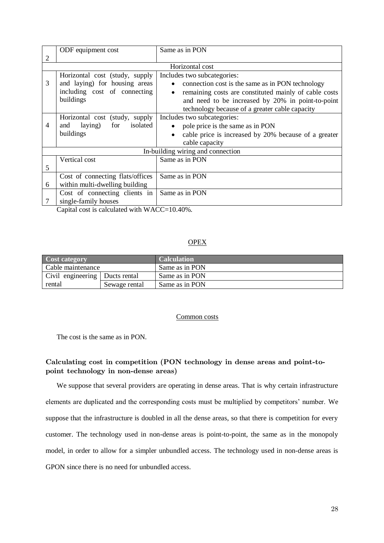|   | ODF equipment cost                                                                                           | Same as in PON                                                                                                                                                                                                                                                    |
|---|--------------------------------------------------------------------------------------------------------------|-------------------------------------------------------------------------------------------------------------------------------------------------------------------------------------------------------------------------------------------------------------------|
| 2 |                                                                                                              |                                                                                                                                                                                                                                                                   |
|   |                                                                                                              | Horizontal cost                                                                                                                                                                                                                                                   |
| 3 | Horizontal cost (study, supply<br>and laying) for housing areas<br>including cost of connecting<br>buildings | Includes two subcategories:<br>connection cost is the same as in PON technology<br>$\bullet$<br>remaining costs are constituted mainly of cable costs<br>٠<br>and need to be increased by 20% in point-to-point<br>technology because of a greater cable capacity |
| 4 | Horizontal cost (study, supply<br>isolated<br>for<br>laying)<br>and<br>buildings                             | Includes two subcategories:<br>pole price is the same as in PON<br>cable price is increased by 20% because of a greater<br>$\bullet$<br>cable capacity                                                                                                            |
|   |                                                                                                              | In-building wiring and connection                                                                                                                                                                                                                                 |
| 5 | Vertical cost                                                                                                | Same as in PON                                                                                                                                                                                                                                                    |
| 6 | Cost of connecting flats/offices<br>within multi-dwelling building                                           | Same as in PON                                                                                                                                                                                                                                                    |
|   | Cost of connecting clients in<br>single-family houses                                                        | Same as in PON                                                                                                                                                                                                                                                    |

Capital cost is calculated with WACC=10.40%.

#### **OPEX**

| Cost category                  |  | <b>Calculation</b> |
|--------------------------------|--|--------------------|
| Cable maintenance              |  | Same as in PON     |
| Civil engineering Ducts rental |  | Same as in PON     |
| Sewage rental<br>rental        |  | Same as in PON     |

#### Common costs

The cost is the same as in PON.

# Calculating cost in competition (PON technology in dense areas and point-topoint technology in non-dense areas)

We suppose that several providers are operating in dense areas. That is why certain infrastructure elements are duplicated and the corresponding costs must be multiplied by competitors' number. We suppose that the infrastructure is doubled in all the dense areas, so that there is competition for every customer. The technology used in non-dense areas is point-to-point, the same as in the monopoly model, in order to allow for a simpler unbundled access. The technology used in non-dense areas is GPON since there is no need for unbundled access.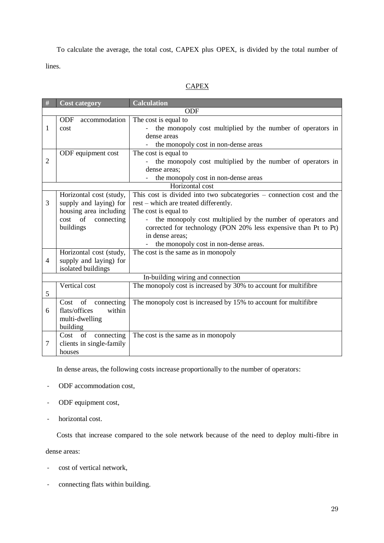To calculate the average, the total cost, CAPEX plus OPEX, is divided by the total number of lines.

# **CAPEX**

| #              | <b>Cost category</b>        | <b>Calculation</b>                                                    |
|----------------|-----------------------------|-----------------------------------------------------------------------|
|                |                             | ODF                                                                   |
|                | <b>ODF</b><br>accommodation | The cost is equal to                                                  |
| 1              | cost                        | the monopoly cost multiplied by the number of operators in            |
|                |                             | dense areas                                                           |
|                |                             | the monopoly cost in non-dense areas                                  |
|                | ODF equipment cost          | The cost is equal to                                                  |
| $\overline{2}$ |                             | the monopoly cost multiplied by the number of operators in            |
|                |                             | dense areas:                                                          |
|                |                             | the monopoly cost in non-dense areas                                  |
|                |                             | Horizontal cost                                                       |
|                | Horizontal cost (study,     | This cost is divided into two subcategories – connection cost and the |
| 3              | supply and laying) for      | rest – which are treated differently.                                 |
|                | housing area including      | The cost is equal to                                                  |
|                | cost of<br>connecting       | the monopoly cost multiplied by the number of operators and           |
|                | buildings                   | corrected for technology (PON 20% less expensive than Pt to Pt)       |
|                |                             | in dense areas:                                                       |
|                |                             | the monopoly cost in non-dense areas.                                 |
|                | Horizontal cost (study,     | The cost is the same as in monopoly                                   |
| $\overline{4}$ | supply and laying) for      |                                                                       |
|                | isolated buildings          |                                                                       |
|                |                             | In-building wiring and connection                                     |
|                | Vertical cost               | The monopoly cost is increased by 30% to account for multifibre       |
| 5              |                             |                                                                       |
|                | connecting<br>Cost<br>of    | The monopoly cost is increased by 15% to account for multifibre       |
| 6              | flats/offices<br>within     |                                                                       |
|                | multi-dwelling              |                                                                       |
|                | building                    |                                                                       |
|                | Cost of<br>connecting       | The cost is the same as in monopoly                                   |
| $\tau$         | clients in single-family    |                                                                       |
|                | houses                      |                                                                       |

In dense areas, the following costs increase proportionally to the number of operators:

- ODF accommodation cost,
- ODF equipment cost,
- horizontal cost.

Costs that increase compared to the sole network because of the need to deploy multi-fibre in

dense areas:

- cost of vertical network,
- connecting flats within building.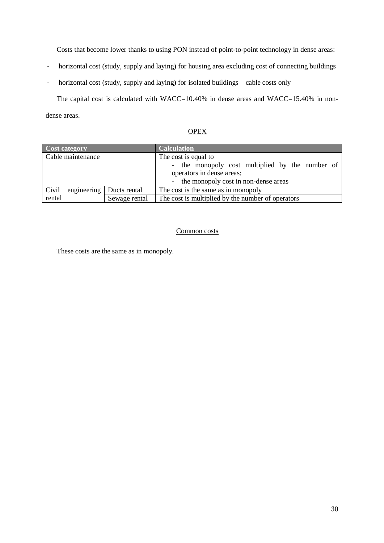Costs that become lower thanks to using PON instead of point-to-point technology in dense areas:

- horizontal cost (study, supply and laying) for housing area excluding cost of connecting buildings
- horizontal cost (study, supply and laying) for isolated buildings cable costs only

The capital cost is calculated with WACC=10.40% in dense areas and WACC=15.40% in nondense areas.

**OPEX** 

| Cost category        |               | <b>Calculation</b>                                                                                                             |
|----------------------|---------------|--------------------------------------------------------------------------------------------------------------------------------|
| Cable maintenance    |               | The cost is equal to                                                                                                           |
|                      |               | - the monopoly cost multiplied by the number of<br>operators in dense areas;<br>the monopoly cost in non-dense areas<br>$\sim$ |
| engineering<br>Civil | Ducts rental  | The cost is the same as in monopoly                                                                                            |
| rental               | Sewage rental | The cost is multiplied by the number of operators                                                                              |

### Common costs

These costs are the same as in monopoly.